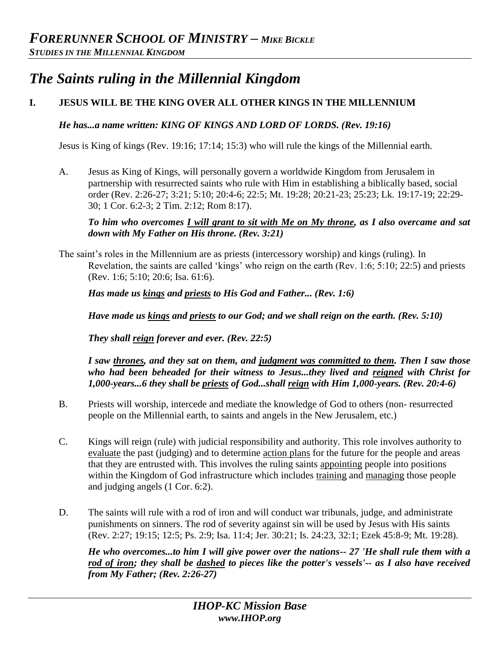# *The Saints ruling in the Millennial Kingdom*

# **I. JESUS WILL BE THE KING OVER ALL OTHER KINGS IN THE MILLENNIUM**

*He has...a name written: KING OF KINGS AND LORD OF LORDS. (Rev. 19:16)* 

Jesus is King of kings (Rev. 19:16; 17:14; 15:3) who will rule the kings of the Millennial earth.

A. Jesus as King of Kings, will personally govern a worldwide Kingdom from Jerusalem in partnership with resurrected saints who rule with Him in establishing a biblically based, social order (Rev. 2:26-27; 3:21; 5:10; 20:4-6; 22:5; Mt. 19:28; 20:21-23; 25:23; Lk. 19:17-19; 22:29- 30; 1 Cor. 6:2-3; 2 Tim. 2:12; Rom 8:17).

*To him who overcomes I will grant to sit with Me on My throne, as I also overcame and sat down with My Father on His throne. (Rev. 3:21)* 

The saint's roles in the Millennium are as priests (intercessory worship) and kings (ruling). In Revelation, the saints are called 'kings' who reign on the earth (Rev. 1:6; 5:10; 22:5) and priests (Rev. 1:6; 5:10; 20:6; Isa. 61:6).

*Has made us kings and priests to His God and Father... (Rev. 1:6)* 

*Have made us kings and priests to our God; and we shall reign on the earth. (Rev. 5:10)* 

*They shall reign forever and ever. (Rev. 22:5)* 

*I saw thrones, and they sat on them, and judgment was committed to them. Then I saw those who had been beheaded for their witness to Jesus...they lived and reigned with Christ for 1,000-years...6 they shall be priests of God...shall reign with Him 1,000-years. (Rev. 20:4-6)* 

- B. Priests will worship, intercede and mediate the knowledge of God to others (non- resurrected people on the Millennial earth, to saints and angels in the New Jerusalem, etc.)
- C. Kings will reign (rule) with judicial responsibility and authority. This role involves authority to evaluate the past (judging) and to determine action plans for the future for the people and areas that they are entrusted with. This involves the ruling saints appointing people into positions within the Kingdom of God infrastructure which includes training and managing those people and judging angels (1 Cor. 6:2).
- D. The saints will rule with a rod of iron and will conduct war tribunals, judge, and administrate punishments on sinners. The rod of severity against sin will be used by Jesus with His saints (Rev. 2:27; 19:15; 12:5; Ps. 2:9; Isa. 11:4; Jer. 30:21; Is. 24:23, 32:1; Ezek 45:8-9; Mt. 19:28).

*He who overcomes...to him I will give power over the nations-- 27 'He shall rule them with a rod of iron; they shall be dashed to pieces like the potter's vessels'-- as I also have received from My Father; (Rev. 2:26-27)*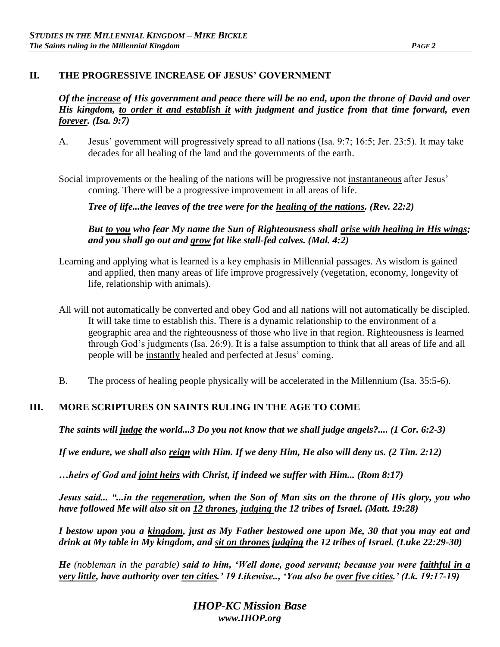## **II. THE PROGRESSIVE INCREASE OF JESUS' GOVERNMENT**

#### *Of the increase of His government and peace there will be no end, upon the throne of David and over His kingdom, to order it and establish it with judgment and justice from that time forward, even forever. (Isa. 9:7)*

A. Jesus' government will progressively spread to all nations (Isa. 9:7; 16:5; Jer. 23:5). It may take decades for all healing of the land and the governments of the earth.

Social improvements or the healing of the nations will be progressive not instantaneous after Jesus' coming. There will be a progressive improvement in all areas of life.

*Tree of life...the leaves of the tree were for the healing of the nations. (Rev. 22:2)* 

*But to you who fear My name the Sun of Righteousness shall arise with healing in His wings; and you shall go out and grow fat like stall-fed calves. (Mal. 4:2)* 

- Learning and applying what is learned is a key emphasis in Millennial passages. As wisdom is gained and applied, then many areas of life improve progressively (vegetation, economy, longevity of life, relationship with animals).
- All will not automatically be converted and obey God and all nations will not automatically be discipled. It will take time to establish this. There is a dynamic relationship to the environment of a geographic area and the righteousness of those who live in that region. Righteousness is learned through God's judgments (Isa. 26:9). It is a false assumption to think that all areas of life and all people will be instantly healed and perfected at Jesus' coming.
- B. The process of healing people physically will be accelerated in the Millennium (Isa. 35:5-6).

## **III. MORE SCRIPTURES ON SAINTS RULING IN THE AGE TO COME**

*The saints will judge the world...3 Do you not know that we shall judge angels?.... (1 Cor. 6:2-3)*

*If we endure, we shall also reign with Him. If we deny Him, He also will deny us. (2 Tim. 2:12)*

*…heirs of God and joint heirs with Christ, if indeed we suffer with Him... (Rom 8:17)*

*Jesus said... "...in the regeneration, when the Son of Man sits on the throne of His glory, you who have followed Me will also sit on 12 thrones, judging the 12 tribes of Israel. (Matt. 19:28)*

*I bestow upon you a kingdom, just as My Father bestowed one upon Me, 30 that you may eat and drink at My table in My kingdom, and sit on thrones judging the 12 tribes of Israel. (Luke 22:29-30)* 

*He (nobleman in the parable) said to him, 'Well done, good servant; because you were faithful in a very little, have authority over ten cities.' 19 Likewise.., 'You also be over five cities.' (Lk. 19:17-19)*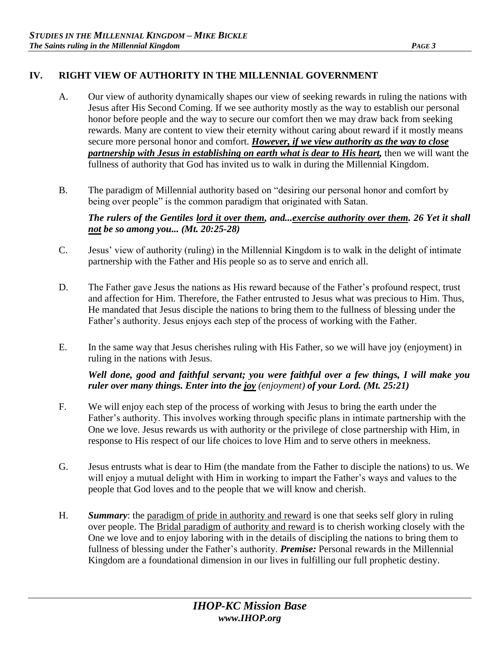## **IV. RIGHT VIEW OF AUTHORITY IN THE MILLENNIAL GOVERNMENT**

- A. Our view of authority dynamically shapes our view of seeking rewards in ruling the nations with Jesus after His Second Coming. If we see authority mostly as the way to establish our personal honor before people and the way to secure our comfort then we may draw back from seeking rewards. Many are content to view their eternity without caring about reward if it mostly means secure more personal honor and comfort. *However, if we view authority as the way to close partnership with Jesus in establishing on earth what is dear to His heart,* then we will want the fullness of authority that God has invited us to walk in during the Millennial Kingdom.
- B. The paradigm of Millennial authority based on "desiring our personal honor and comfort by being over people" is the common paradigm that originated with Satan.

*The rulers of the Gentiles lord it over them, and...exercise authority over them. 26 Yet it shall not be so among you... (Mt. 20:25-28)* 

- C. Jesus' view of authority (ruling) in the Millennial Kingdom is to walk in the delight of intimate partnership with the Father and His people so as to serve and enrich all.
- D. The Father gave Jesus the nations as His reward because of the Father's profound respect, trust and affection for Him. Therefore, the Father entrusted to Jesus what was precious to Him. Thus, He mandated that Jesus disciple the nations to bring them to the fullness of blessing under the Father's authority. Jesus enjoys each step of the process of working with the Father.
- E. In the same way that Jesus cherishes ruling with His Father, so we will have joy (enjoyment) in ruling in the nations with Jesus.

*Well done, good and faithful servant; you were faithful over a few things, I will make you ruler over many things. Enter into the joy (enjoyment) of your Lord. (Mt. 25:21)* 

- F. We will enjoy each step of the process of working with Jesus to bring the earth under the Father's authority. This involves working through specific plans in intimate partnership with the One we love. Jesus rewards us with authority or the privilege of close partnership with Him, in response to His respect of our life choices to love Him and to serve others in meekness.
- G. Jesus entrusts what is dear to Him (the mandate from the Father to disciple the nations) to us. We will enjoy a mutual delight with Him in working to impart the Father's ways and values to the people that God loves and to the people that we will know and cherish.
- H. *Summary*: the paradigm of pride in authority and reward is one that seeks self glory in ruling over people. The Bridal paradigm of authority and reward is to cherish working closely with the One we love and to enjoy laboring with in the details of discipling the nations to bring them to fullness of blessing under the Father's authority. *Premise:* Personal rewards in the Millennial Kingdom are a foundational dimension in our lives in fulfilling our full prophetic destiny.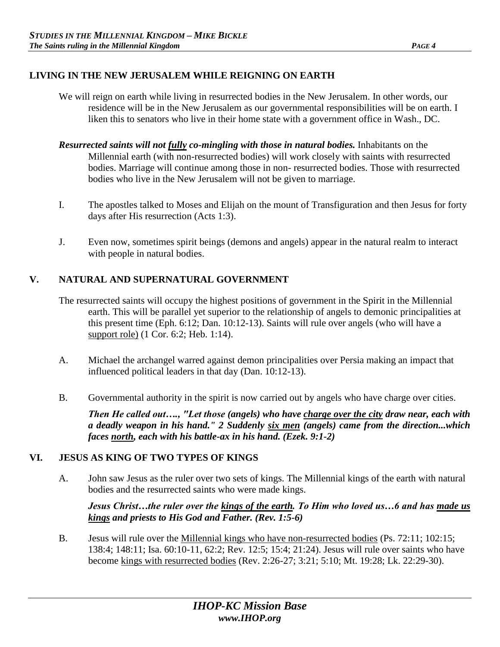## **LIVING IN THE NEW JERUSALEM WHILE REIGNING ON EARTH**

- We will reign on earth while living in resurrected bodies in the New Jerusalem. In other words, our residence will be in the New Jerusalem as our governmental responsibilities will be on earth. I liken this to senators who live in their home state with a government office in Wash., DC.
- *Resurrected saints will not fully co-mingling with those in natural bodies.* Inhabitants on the Millennial earth (with non-resurrected bodies) will work closely with saints with resurrected bodies. Marriage will continue among those in non- resurrected bodies. Those with resurrected bodies who live in the New Jerusalem will not be given to marriage.
- I. The apostles talked to Moses and Elijah on the mount of Transfiguration and then Jesus for forty days after His resurrection (Acts 1:3).
- J. Even now, sometimes spirit beings (demons and angels) appear in the natural realm to interact with people in natural bodies.

# **V. NATURAL AND SUPERNATURAL GOVERNMENT**

- The resurrected saints will occupy the highest positions of government in the Spirit in the Millennial earth. This will be parallel yet superior to the relationship of angels to demonic principalities at this present time (Eph. 6:12; Dan. 10:12-13). Saints will rule over angels (who will have a support role) (1 Cor. 6:2; Heb. 1:14).
- A. Michael the archangel warred against demon principalities over Persia making an impact that influenced political leaders in that day (Dan. 10:12-13).
- B. Governmental authority in the spirit is now carried out by angels who have charge over cities.

*Then He called out…., "Let those (angels) who have charge over the city draw near, each with a deadly weapon in his hand." 2 Suddenly six men (angels) came from the direction...which faces north, each with his battle-ax in his hand. (Ezek. 9:1-2)*

## **VI. JESUS AS KING OF TWO TYPES OF KINGS**

A. John saw Jesus as the ruler over two sets of kings. The Millennial kings of the earth with natural bodies and the resurrected saints who were made kings.

*Jesus Christ…the ruler over the kings of the earth. To Him who loved us…6 and has made us kings and priests to His God and Father. (Rev. 1:5-6)* 

B. Jesus will rule over the Millennial kings who have non-resurrected bodies (Ps. 72:11; 102:15; 138:4; 148:11; Isa. 60:10-11, 62:2; Rev. 12:5; 15:4; 21:24). Jesus will rule over saints who have become kings with resurrected bodies (Rev. 2:26-27; 3:21; 5:10; Mt. 19:28; Lk. 22:29-30).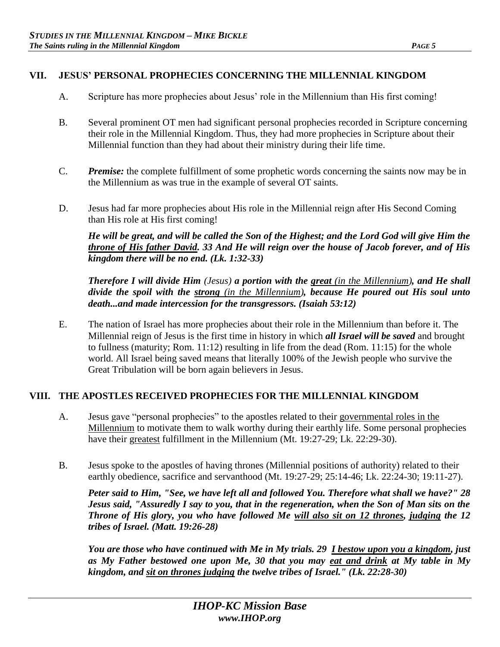### **VII. JESUS' PERSONAL PROPHECIES CONCERNING THE MILLENNIAL KINGDOM**

- A. Scripture has more prophecies about Jesus' role in the Millennium than His first coming!
- B. Several prominent OT men had significant personal prophecies recorded in Scripture concerning their role in the Millennial Kingdom. Thus, they had more prophecies in Scripture about their Millennial function than they had about their ministry during their life time.
- C. *Premise:* the complete fulfillment of some prophetic words concerning the saints now may be in the Millennium as was true in the example of several OT saints.
- D. Jesus had far more prophecies about His role in the Millennial reign after His Second Coming than His role at His first coming!

*He will be great, and will be called the Son of the Highest; and the Lord God will give Him the throne of His father David. 33 And He will reign over the house of Jacob forever, and of His kingdom there will be no end. (Lk. 1:32-33)* 

*Therefore I will divide Him (Jesus) a portion with the great (in the Millennium), and He shall divide the spoil with the strong (in the Millennium), because He poured out His soul unto death...and made intercession for the transgressors. (Isaiah 53:12)* 

E. The nation of Israel has more prophecies about their role in the Millennium than before it. The Millennial reign of Jesus is the first time in history in which *all Israel will be saved* and brought to fullness (maturity; Rom. 11:12) resulting in life from the dead (Rom. 11:15) for the whole world. All Israel being saved means that literally 100% of the Jewish people who survive the Great Tribulation will be born again believers in Jesus.

#### **VIII. THE APOSTLES RECEIVED PROPHECIES FOR THE MILLENNIAL KINGDOM**

- A. Jesus gave "personal prophecies" to the apostles related to their governmental roles in the Millennium to motivate them to walk worthy during their earthly life. Some personal prophecies have their greatest fulfillment in the Millennium (Mt. 19:27-29; Lk. 22:29-30).
- B. Jesus spoke to the apostles of having thrones (Millennial positions of authority) related to their earthly obedience, sacrifice and servanthood (Mt. 19:27-29; 25:14-46; Lk. 22:24-30; 19:11-27).

*Peter said to Him, "See, we have left all and followed You. Therefore what shall we have?" 28 Jesus said, "Assuredly I say to you, that in the regeneration, when the Son of Man sits on the Throne of His glory, you who have followed Me will also sit on 12 thrones, judging the 12 tribes of Israel. (Matt. 19:26-28)* 

*You are those who have continued with Me in My trials. 29 I bestow upon you a kingdom, just as My Father bestowed one upon Me, 30 that you may eat and drink at My table in My kingdom, and sit on thrones judging the twelve tribes of Israel." (Lk. 22:28-30)*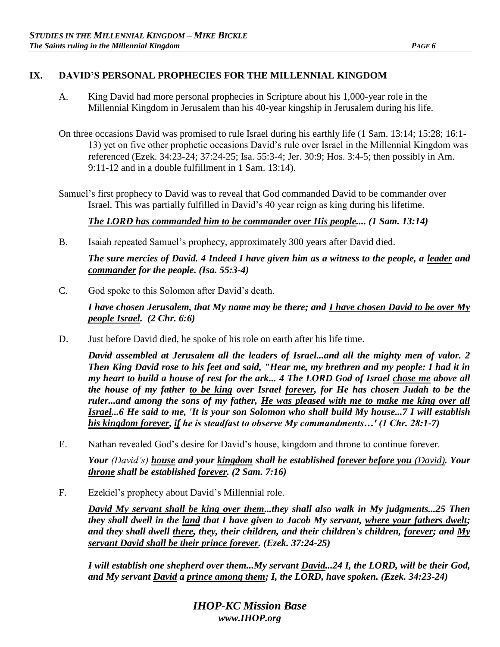## **IX. DAVID'S PERSONAL PROPHECIES FOR THE MILLENNIAL KINGDOM**

- A. King David had more personal prophecies in Scripture about his 1,000-year role in the Millennial Kingdom in Jerusalem than his 40-year kingship in Jerusalem during his life.
- On three occasions David was promised to rule Israel during his earthly life (1 Sam. 13:14; 15:28; 16:1- 13) yet on five other prophetic occasions David's rule over Israel in the Millennial Kingdom was referenced (Ezek. 34:23-24; 37:24-25; Isa. 55:3-4; Jer. 30:9; Hos. 3:4-5; then possibly in Am. 9:11-12 and in a double fulfillment in 1 Sam. 13:14).
- Samuel's first prophecy to David was to reveal that God commanded David to be commander over Israel. This was partially fulfilled in David's 40 year reign as king during his lifetime.

*The LORD has commanded him to be commander over His people.... (1 Sam. 13:14)* 

B. Isaiah repeated Samuel's prophecy, approximately 300 years after David died.

*The sure mercies of David. 4 Indeed I have given him as a witness to the people, a leader and commander for the people. (Isa. 55:3-4)* 

C. God spoke to this Solomon after David's death.

*I have chosen Jerusalem, that My name may be there; and I have chosen David to be over My people Israel. (2 Chr. 6:6)* 

D. Just before David died, he spoke of his role on earth after his life time.

*David assembled at Jerusalem all the leaders of Israel...and all the mighty men of valor. 2 Then King David rose to his feet and said, "Hear me, my brethren and my people: I had it in my heart to build a house of rest for the ark... 4 The LORD God of Israel chose me above all the house of my father to be king over Israel forever, for He has chosen Judah to be the ruler...and among the sons of my father, He was pleased with me to make me king over all Israel...6 He said to me, 'It is your son Solomon who shall build My house...7 I will establish his kingdom forever, if he is steadfast to observe My commandments…' (1 Chr. 28:1-7)* 

E. Nathan revealed God's desire for David's house, kingdom and throne to continue forever.

*Your (David's) house and your kingdom shall be established forever before you (David). Your throne shall be established forever. (2 Sam. 7:16)* 

F. Ezekiel's prophecy about David's Millennial role.

*David My servant shall be king over them...they shall also walk in My judgments...25 Then they shall dwell in the land that I have given to Jacob My servant, where your fathers dwelt; and they shall dwell there, they, their children, and their children's children, forever; and My servant David shall be their prince forever. (Ezek. 37:24-25)* 

*I will establish one shepherd over them...My servant David...24 I, the LORD, will be their God, and My servant David a prince among them; I, the LORD, have spoken. (Ezek. 34:23-24)*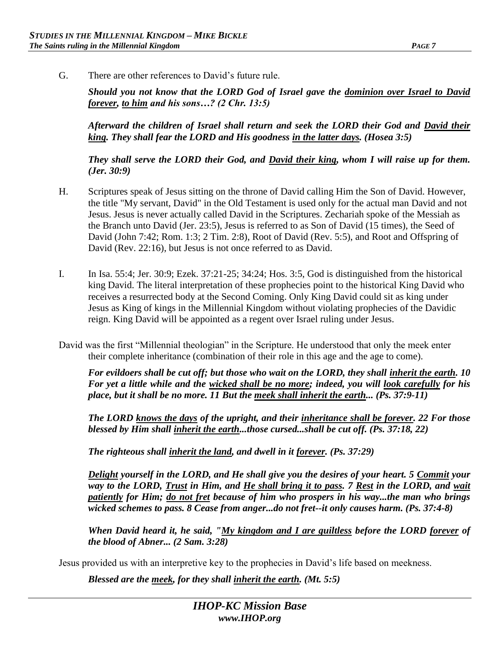G. There are other references to David's future rule.

*Should you not know that the LORD God of Israel gave the dominion over Israel to David forever, to him and his sons…? (2 Chr. 13:5)* 

*Afterward the children of Israel shall return and seek the LORD their God and David their king. They shall fear the LORD and His goodness in the latter days. (Hosea 3:5)* 

*They shall serve the LORD their God, and David their king, whom I will raise up for them. (Jer. 30:9)* 

- H. Scriptures speak of Jesus sitting on the throne of David calling Him the Son of David. However, the title "My servant, David" in the Old Testament is used only for the actual man David and not Jesus. Jesus is never actually called David in the Scriptures. Zechariah spoke of the Messiah as the Branch unto David (Jer. 23:5), Jesus is referred to as Son of David (15 times), the Seed of David (John 7:42; Rom. 1:3; 2 Tim. 2:8), Root of David (Rev. 5:5), and Root and Offspring of David (Rev. 22:16), but Jesus is not once referred to as David.
- I. In Isa. 55:4; Jer. 30:9; Ezek. 37:21-25; 34:24; Hos. 3:5, God is distinguished from the historical king David. The literal interpretation of these prophecies point to the historical King David who receives a resurrected body at the Second Coming. Only King David could sit as king under Jesus as King of kings in the Millennial Kingdom without violating prophecies of the Davidic reign. King David will be appointed as a regent over Israel ruling under Jesus.
- David was the first "Millennial theologian" in the Scripture. He understood that only the meek enter their complete inheritance (combination of their role in this age and the age to come).

*For evildoers shall be cut off; but those who wait on the LORD, they shall inherit the earth. 10 For yet a little while and the <u>wicked shall be no more</u>; indeed, you will <u>look carefully</u> for his place, but it shall be no more. 11 But the meek shall inherit the earth... (Ps. 37:9-11)* 

*The LORD knows the days of the upright, and their inheritance shall be forever. 22 For those blessed by Him shall inherit the earth...those cursed...shall be cut off. (Ps. 37:18, 22)* 

*The righteous shall inherit the land, and dwell in it forever. (Ps. 37:29)* 

*Delight yourself in the LORD, and He shall give you the desires of your heart. 5 Commit your way to the LORD, Trust in Him, and He shall bring it to pass. 7 Rest in the LORD, and wait patiently for Him; do not fret because of him who prospers in his way...the man who brings wicked schemes to pass. 8 Cease from anger...do not fret--it only causes harm. (Ps. 37:4-8)* 

*When David heard it, he said, "My kingdom and I are guiltless before the LORD forever of the blood of Abner... (2 Sam. 3:28)* 

Jesus provided us with an interpretive key to the prophecies in David's life based on meekness.

*Blessed are the meek, for they shall inherit the earth. (Mt. 5:5)*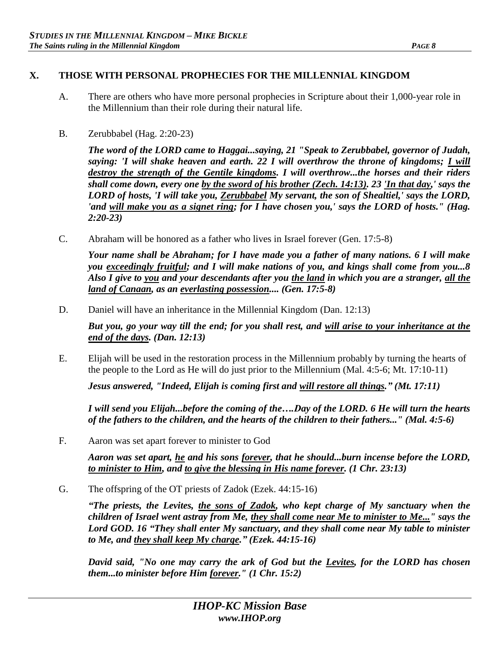## **X. THOSE WITH PERSONAL PROPHECIES FOR THE MILLENNIAL KINGDOM**

- A. There are others who have more personal prophecies in Scripture about their 1,000-year role in the Millennium than their role during their natural life.
- B. Zerubbabel (Hag. 2:20-23)

*The word of the LORD came to Haggai...saying, 21 "Speak to Zerubbabel, governor of Judah, saying: 'I will shake heaven and earth. 22 I will overthrow the throne of kingdoms; I will destroy the strength of the Gentile kingdoms. I will overthrow...the horses and their riders shall come down, every one by the sword of his brother (Zech. 14:13). 23 'In that day,' says the LORD of hosts, 'I will take you, Zerubbabel My servant, the son of Shealtiel,' says the LORD, 'and will make you as a signet ring; for I have chosen you,' says the LORD of hosts." (Hag. 2:20-23)* 

C. Abraham will be honored as a father who lives in Israel forever (Gen. 17:5-8)

*Your name shall be Abraham; for I have made you a father of many nations. 6 I will make you exceedingly fruitful; and I will make nations of you, and kings shall come from you...8 Also I give to you and your descendants after you the land in which you are a stranger, all the land of Canaan, as an everlasting possession.... (Gen. 17:5-8)* 

D. Daniel will have an inheritance in the Millennial Kingdom (Dan. 12:13)

*But you, go your way till the end; for you shall rest, and will arise to your inheritance at the end of the days. (Dan. 12:13)* 

E. Elijah will be used in the restoration process in the Millennium probably by turning the hearts of the people to the Lord as He will do just prior to the Millennium (Mal. 4:5-6; Mt. 17:10-11)

*Jesus answered, "Indeed, Elijah is coming first and will restore all things." (Mt. 17:11)* 

*I will send you Elijah...before the coming of the….Day of the LORD. 6 He will turn the hearts of the fathers to the children, and the hearts of the children to their fathers..." (Mal. 4:5-6)* 

F. Aaron was set apart forever to minister to God

*Aaron was set apart, he and his sons forever, that he should...burn incense before the LORD, to minister to Him, and to give the blessing in His name forever. (1 Chr. 23:13)* 

G. The offspring of the OT priests of Zadok (Ezek. 44:15-16)

*"The priests, the Levites, the sons of Zadok, who kept charge of My sanctuary when the children of Israel went astray from Me, they shall come near Me to minister to Me..." says the Lord GOD. 16 "They shall enter My sanctuary, and they shall come near My table to minister to Me, and they shall keep My charge." (Ezek. 44:15-16)* 

*David said, "No one may carry the ark of God but the Levites, for the LORD has chosen them...to minister before Him forever." (1 Chr. 15:2)*